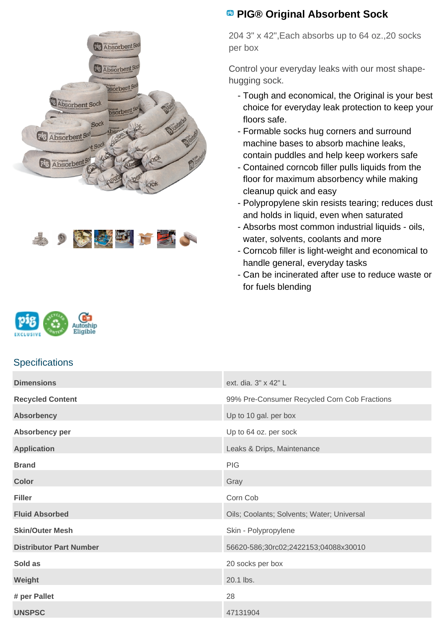



## **<sup><b>B</sup>** PIG® Original Absorbent Sock</sup>

204 3" x 42",Each absorbs up to 64 oz.,20 socks per box

Control your everyday leaks with our most shapehugging sock.

- Tough and economical, the Original is your best choice for everyday leak protection to keep your floors safe.
- Formable socks hug corners and surround machine bases to absorb machine leaks, contain puddles and help keep workers safe
- Contained corncob filler pulls liquids from the floor for maximum absorbency while making cleanup quick and easy
- Polypropylene skin resists tearing; reduces dust and holds in liquid, even when saturated
- Absorbs most common industrial liquids oils, water, solvents, coolants and more
- Corncob filler is light-weight and economical to handle general, everyday tasks
- Can be incinerated after use to reduce waste or for fuels blending



## **Specifications**

| <b>Dimensions</b>              | ext. dia. 3" x 42" L                         |
|--------------------------------|----------------------------------------------|
| <b>Recycled Content</b>        | 99% Pre-Consumer Recycled Corn Cob Fractions |
| <b>Absorbency</b>              | Up to 10 gal. per box                        |
| Absorbency per                 | Up to 64 oz. per sock                        |
| <b>Application</b>             | Leaks & Drips, Maintenance                   |
| <b>Brand</b>                   | PIG                                          |
| <b>Color</b>                   | Gray                                         |
| <b>Filler</b>                  | Corn Cob                                     |
| <b>Fluid Absorbed</b>          | Oils; Coolants; Solvents; Water; Universal   |
| <b>Skin/Outer Mesh</b>         | Skin - Polypropylene                         |
| <b>Distributor Part Number</b> | 56620-586;30rc02;2422153;04088x30010         |
| Sold as                        | 20 socks per box                             |
| Weight                         | 20.1 lbs.                                    |
| # per Pallet                   | 28                                           |
| <b>UNSPSC</b>                  | 47131904                                     |